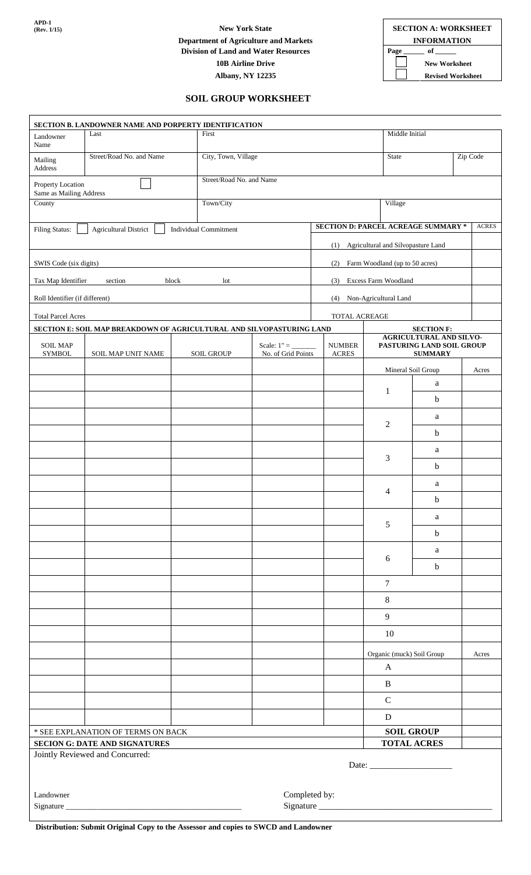**APD-1**<br>**(Rev. 1/15)** 

## **Department of Agriculture and Markets INFORMATION**<br>Division of Land and Water Resources Page of Theory of Theory of Theory of Theory of Theory of Theory of Theory of Theory of Theory of Theory of Theory of Theory of The **Division of Land and Water Resources Page \_\_\_\_\_\_\_\_ of \_ 10B Airline Drive New Worksheet Albany, NY 12235 Revised Worksheet**

**(Rev. 1/15)** New York State **SECTION A: WORKSHEET** 

## **SOIL GROUP WORKSHEET**

|                                              | SECTION B. LANDOWNER NAME AND PORPERTY IDENTIFICATION                 |                                       |                                     |                                            |                                                                               |                    |              |  |
|----------------------------------------------|-----------------------------------------------------------------------|---------------------------------------|-------------------------------------|--------------------------------------------|-------------------------------------------------------------------------------|--------------------|--------------|--|
| Landowner<br>Name                            | Last                                                                  |                                       | First                               |                                            | Middle Initial                                                                |                    |              |  |
| Mailing<br>Address                           | Street/Road No. and Name                                              |                                       | City, Town, Village<br><b>State</b> |                                            |                                                                               |                    | Zip Code     |  |
| Property Location<br>Same as Mailing Address |                                                                       | Street/Road No. and Name              |                                     |                                            |                                                                               |                    |              |  |
| County                                       |                                                                       | Town/City                             |                                     |                                            | Village                                                                       |                    |              |  |
| Filing Status:                               | <b>Agricultural District</b>                                          | <b>Individual Commitment</b>          |                                     | <b>SECTION D: PARCEL ACREAGE SUMMARY *</b> |                                                                               |                    | <b>ACRES</b> |  |
|                                              |                                                                       |                                       |                                     | (1)                                        | Agricultural and Silvopasture Land                                            |                    |              |  |
| SWIS Code (six digits)                       |                                                                       | Farm Woodland (up to 50 acres)<br>(2) |                                     |                                            |                                                                               |                    |              |  |
| Tax Map Identifier                           | Excess Farm Woodland<br>(3)                                           |                                       |                                     |                                            |                                                                               |                    |              |  |
| Roll Identifier (if different)               | (4)<br>Non-Agricultural Land                                          |                                       |                                     |                                            |                                                                               |                    |              |  |
| <b>Total Parcel Acres</b>                    |                                                                       |                                       |                                     | TOTAL ACREAGE                              |                                                                               |                    |              |  |
|                                              | SECTION E: SOIL MAP BREAKDOWN OF AGRICULTURAL AND SILVOPASTURING LAND |                                       |                                     |                                            |                                                                               | <b>SECTION F:</b>  |              |  |
| <b>SOIL MAP</b><br><b>SYMBOL</b>             | SOIL MAP UNIT NAME                                                    | <b>SOIL GROUP</b>                     | No. of Grid Points                  | <b>NUMBER</b><br><b>ACRES</b>              | <b>AGRICULTURAL AND SILVO-</b><br>PASTURING LAND SOIL GROUP<br><b>SUMMARY</b> |                    |              |  |
|                                              |                                                                       |                                       |                                     |                                            |                                                                               | Mineral Soil Group | Acres        |  |
|                                              |                                                                       |                                       |                                     |                                            | 1                                                                             | a                  |              |  |
|                                              |                                                                       |                                       |                                     |                                            |                                                                               | $\mathbf b$        |              |  |
|                                              |                                                                       |                                       |                                     |                                            | $\mathfrak{2}$                                                                | a                  |              |  |
|                                              |                                                                       |                                       |                                     |                                            |                                                                               | $\mathbf b$        |              |  |
|                                              |                                                                       |                                       |                                     |                                            |                                                                               | a                  |              |  |
|                                              |                                                                       |                                       |                                     |                                            | 3                                                                             | $\mathbf b$        |              |  |
|                                              |                                                                       |                                       |                                     |                                            |                                                                               | a                  |              |  |
|                                              |                                                                       |                                       |                                     |                                            | 4                                                                             | $\mathbf b$        |              |  |
|                                              |                                                                       |                                       |                                     |                                            |                                                                               | a                  |              |  |
|                                              |                                                                       |                                       |                                     |                                            | 5                                                                             | $\mathbf b$        |              |  |
|                                              |                                                                       |                                       |                                     |                                            |                                                                               | a                  |              |  |
|                                              |                                                                       |                                       |                                     |                                            | 6                                                                             | $\mathbf b$        |              |  |
|                                              |                                                                       |                                       |                                     |                                            | $\overline{7}$                                                                |                    |              |  |
|                                              |                                                                       |                                       |                                     |                                            | $8\phantom{.}$                                                                |                    |              |  |
|                                              |                                                                       |                                       |                                     |                                            | 9                                                                             |                    |              |  |
|                                              |                                                                       |                                       |                                     |                                            | 10                                                                            |                    |              |  |
|                                              |                                                                       |                                       |                                     |                                            | Organic (muck) Soil Group                                                     |                    | Acres        |  |
|                                              |                                                                       |                                       |                                     |                                            | $\mathbf{A}$                                                                  |                    |              |  |
|                                              |                                                                       |                                       |                                     |                                            | $\, {\bf B}$                                                                  |                    |              |  |
|                                              |                                                                       |                                       |                                     |                                            | $\mathbf C$                                                                   |                    |              |  |
|                                              |                                                                       |                                       |                                     |                                            | $\mathbf D$                                                                   |                    |              |  |
| * SEE EXPLANATION OF TERMS ON BACK           |                                                                       |                                       |                                     |                                            | <b>SOIL GROUP</b>                                                             |                    |              |  |
|                                              | <b>SECION G: DATE AND SIGNATURES</b>                                  |                                       |                                     |                                            |                                                                               | <b>TOTAL ACRES</b> |              |  |
|                                              | Jointly Reviewed and Concurred:                                       |                                       |                                     |                                            |                                                                               |                    |              |  |
| Landowner                                    |                                                                       |                                       | Completed by:                       |                                            |                                                                               |                    |              |  |
|                                              |                                                                       |                                       |                                     | Signature                                  |                                                                               |                    |              |  |

**Distribution: Submit Original Copy to the Assessor and copies to SWCD and Landowner**